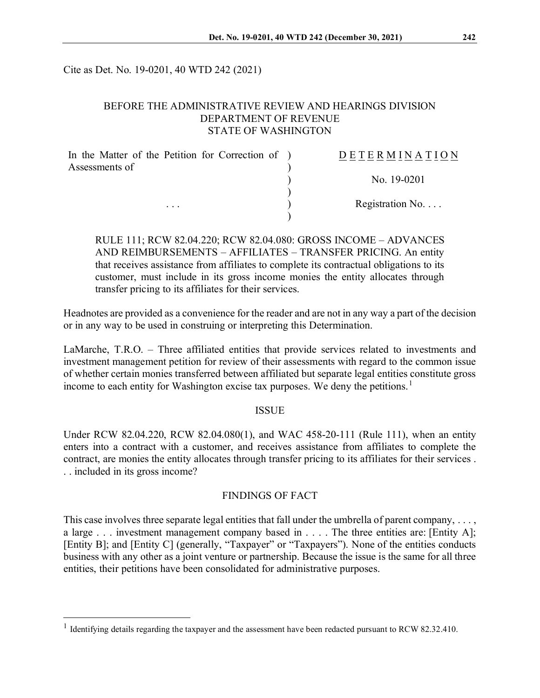Cite as Det. No. 19-0201, 40 WTD 242 (2021)

#### BEFORE THE ADMINISTRATIVE REVIEW AND HEARINGS DIVISION DEPARTMENT OF REVENUE STATE OF WASHINGTON

| In the Matter of the Petition for Correction of ) | DETERMINATION            |
|---------------------------------------------------|--------------------------|
| Assessments of                                    | No. 19-0201              |
|                                                   | Registration No. $\dots$ |
| $\cdots$                                          |                          |

RULE 111; RCW 82.04.220; RCW 82.04.080: GROSS INCOME – ADVANCES AND REIMBURSEMENTS – AFFILIATES – TRANSFER PRICING. An entity that receives assistance from affiliates to complete its contractual obligations to its customer, must include in its gross income monies the entity allocates through transfer pricing to its affiliates for their services.

Headnotes are provided as a convenience for the reader and are not in any way a part of the decision or in any way to be used in construing or interpreting this Determination.

LaMarche, T.R.O. – Three affiliated entities that provide services related to investments and investment management petition for review of their assessments with regard to the common issue of whether certain monies transferred between affiliated but separate legal entities constitute gross income to each entity for Washington excise tax purposes. We deny the petitions. [1](#page-0-0)

#### ISSUE

Under RCW 82.04.220, RCW 82.04.080(1), and WAC 458-20-111 (Rule 111), when an entity enters into a contract with a customer, and receives assistance from affiliates to complete the contract, are monies the entity allocates through transfer pricing to its affiliates for their services . . . included in its gross income?

#### FINDINGS OF FACT

This case involves three separate legal entities that fall under the umbrella of parent company, ..., a large . . . investment management company based in . . . . The three entities are: [Entity A]; [Entity B]; and [Entity C] (generally, "Taxpayer" or "Taxpayers"). None of the entities conducts business with any other as a joint venture or partnership. Because the issue is the same for all three entities, their petitions have been consolidated for administrative purposes.

<span id="page-0-0"></span> $1$  Identifying details regarding the taxpayer and the assessment have been redacted pursuant to RCW 82.32.410.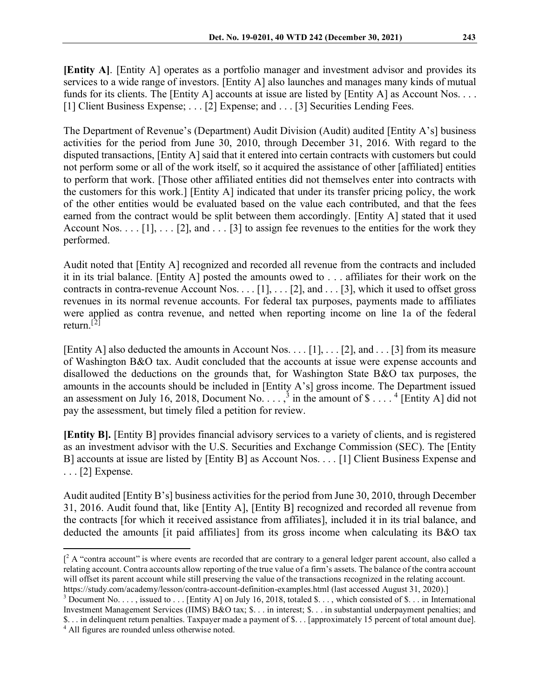**[Entity A]**. [Entity A] operates as a portfolio manager and investment advisor and provides its services to a wide range of investors. [Entity A] also launches and manages many kinds of mutual funds for its clients. The [Entity A] accounts at issue are listed by [Entity A] as Account Nos. . . . [1] Client Business Expense; . . . [2] Expense; and . . . [3] Securities Lending Fees.

The Department of Revenue's (Department) Audit Division (Audit) audited [Entity A's] business activities for the period from June 30, 2010, through December 31, 2016. With regard to the disputed transactions, [Entity A] said that it entered into certain contracts with customers but could not perform some or all of the work itself, so it acquired the assistance of other [affiliated] entities to perform that work. [Those other affiliated entities did not themselves enter into contracts with the customers for this work.] [Entity A] indicated that under its transfer pricing policy, the work of the other entities would be evaluated based on the value each contributed, and that the fees earned from the contract would be split between them accordingly. [Entity A] stated that it used Account Nos.  $\dots$  [1],  $\dots$  [2], and  $\dots$  [3] to assign fee revenues to the entities for the work they performed.

Audit noted that [Entity A] recognized and recorded all revenue from the contracts and included it in its trial balance. [Entity A] posted the amounts owed to . . . affiliates for their work on the contracts in contra-revenue Account Nos.  $\dots$  [1],  $\dots$  [2], and  $\dots$  [3], which it used to offset gross revenues in its normal revenue accounts. For federal tax purposes, payments made to affiliates were applied as contra revenue, and netted when reporting income on line 1a of the federal return.[[2](#page-1-0)]

[Entity A] also deducted the amounts in Account Nos.  $\dots$  [1],  $\dots$  [2], and  $\dots$  [3] from its measure of Washington B&O tax. Audit concluded that the accounts at issue were expense accounts and disallowed the deductions on the grounds that, for Washington State B&O tax purposes, the amounts in the accounts should be included in [Entity A's] gross income. The Department issued an assessment on July 16, 2018, Document No.  $\dots$ ,  $3$  in the amount of \$ $\dots$ .  $4$  [Entity A] did not pay the assessment, but timely filed a petition for review.

**[Entity B].** [Entity B] provides financial advisory services to a variety of clients, and is registered as an investment advisor with the U.S. Securities and Exchange Commission (SEC). The [Entity B] accounts at issue are listed by [Entity B] as Account Nos. . . . [1] Client Business Expense and . . . [2] Expense.

Audit audited [Entity B's] business activities for the period from June 30, 2010, through December 31, 2016. Audit found that, like [Entity A], [Entity B] recognized and recorded all revenue from the contracts [for which it received assistance from affiliates], included it in its trial balance, and deducted the amounts [it paid affiliates] from its gross income when calculating its B&O tax

<span id="page-1-0"></span> $[^2$  A "contra account" is where events are recorded that are contrary to a general ledger parent account, also called a relating account. Contra accounts allow reporting of the true value of a firm's assets. The balance of the contra account will offset its parent account while still preserving the value of the transactions recognized in the relating account. https://study.com/academy/lesson/contra-account-definition-examples.html (last accessed August 31, 2020).]

<span id="page-1-2"></span><span id="page-1-1"></span><sup>&</sup>lt;sup>3</sup> Document No. . . . , issued to . . . [Entity A] on July 16, 2018, totaled \$. . . , which consisted of \$. . . in International Investment Management Services (IIMS) B&O tax; \$. . . in interest; \$. . . in substantial underpayment penalties; and \$. . . in delinquent return penalties. Taxpayer made a payment of \$. . . [approximately 15 percent of total amount due]. <sup>4</sup> All figures are rounded unless otherwise noted.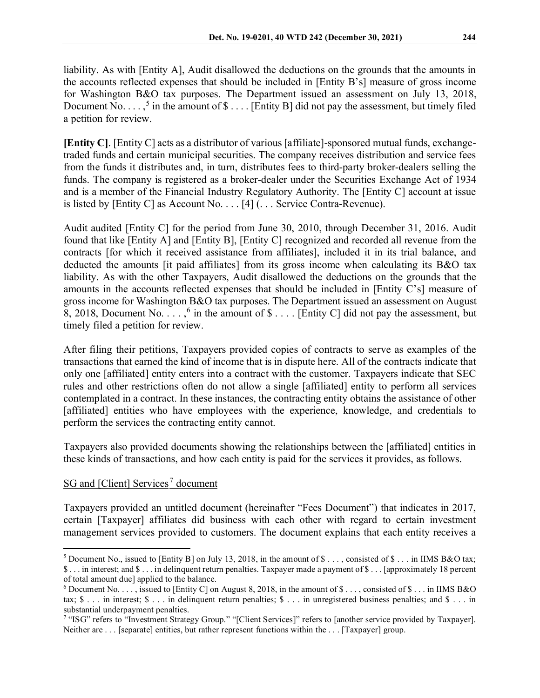liability. As with [Entity A], Audit disallowed the deductions on the grounds that the amounts in the accounts reflected expenses that should be included in [Entity B's] measure of gross income for Washington B&O tax purposes. The Department issued an assessment on July 13, 2018, Document No.  $\dots$ ,<sup>[5](#page-2-0)</sup> in the amount of  $\text{\$}\dots$  [Entity B] did not pay the assessment, but timely filed a petition for review.

**[Entity C]**. [Entity C] acts as a distributor of various [affiliate]-sponsored mutual funds, exchangetraded funds and certain municipal securities. The company receives distribution and service fees from the funds it distributes and, in turn, distributes fees to third-party broker-dealers selling the funds. The company is registered as a broker-dealer under the Securities Exchange Act of 1934 and is a member of the Financial Industry Regulatory Authority. The [Entity C] account at issue is listed by [Entity C] as Account No.  $\ldots$  [4] ( $\ldots$  Service Contra-Revenue).

Audit audited [Entity C] for the period from June 30, 2010, through December 31, 2016. Audit found that like [Entity A] and [Entity B], [Entity C] recognized and recorded all revenue from the contracts [for which it received assistance from affiliates], included it in its trial balance, and deducted the amounts [it paid affiliates] from its gross income when calculating its B&O tax liability. As with the other Taxpayers, Audit disallowed the deductions on the grounds that the amounts in the accounts reflected expenses that should be included in [Entity C's] measure of gross income for Washington B&O tax purposes. The Department issued an assessment on August 8, 2018, Document No.  $\dots$ , <sup>[6](#page-2-1)</sup> in the amount of \$.... [Entity C] did not pay the assessment, but timely filed a petition for review.

After filing their petitions, Taxpayers provided copies of contracts to serve as examples of the transactions that earned the kind of income that is in dispute here. All of the contracts indicate that only one [affiliated] entity enters into a contract with the customer. Taxpayers indicate that SEC rules and other restrictions often do not allow a single [affiliated] entity to perform all services contemplated in a contract. In these instances, the contracting entity obtains the assistance of other [affiliated] entities who have employees with the experience, knowledge, and credentials to perform the services the contracting entity cannot.

Taxpayers also provided documents showing the relationships between the [affiliated] entities in these kinds of transactions, and how each entity is paid for the services it provides, as follows.

### SG and [Client] Services<sup>[7](#page-2-2)</sup> document

Taxpayers provided an untitled document (hereinafter "Fees Document") that indicates in 2017, certain [Taxpayer] affiliates did business with each other with regard to certain investment management services provided to customers. The document explains that each entity receives a

<span id="page-2-0"></span><sup>&</sup>lt;sup>5</sup> Document No., issued to [Entity B] on July 13, 2018, in the amount of  $\$\ldots$ , consisted of  $\$\ldots$  in IIMS B&O tax; \$ . . . in interest; and \$ . . . in delinquent return penalties. Taxpayer made a payment of \$ . . . [approximately 18 percent of total amount due] applied to the balance.

<span id="page-2-1"></span> $6$  Document No. . . . , issued to [Entity C] on August 8, 2018, in the amount of  $\$\ldots$ , consisted of  $\$\ldots$  in IIMS B&O tax; \$ . . . in interest; \$ . . . in delinquent return penalties; \$ . . . in unregistered business penalties; and \$ . . . in substantial underpayment penalties.

<span id="page-2-2"></span><sup>&</sup>lt;sup>7</sup> "ISG" refers to "Investment Strategy Group." "[Client Services]" refers to [another service provided by Taxpayer]. Neither are . . . [separate] entities, but rather represent functions within the . . . [Taxpayer] group.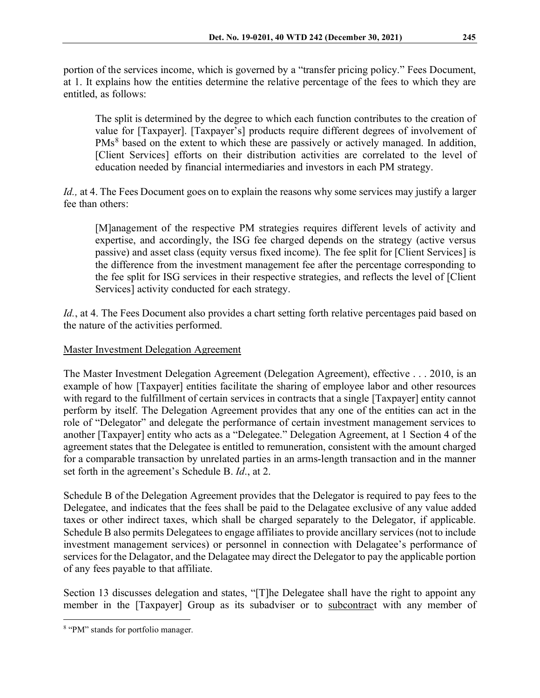portion of the services income, which is governed by a "transfer pricing policy." Fees Document, at 1. It explains how the entities determine the relative percentage of the fees to which they are entitled, as follows:

The split is determined by the degree to which each function contributes to the creation of value for [Taxpayer]. [Taxpayer's] products require different degrees of involvement of PMs<sup>[8](#page-3-0)</sup> based on the extent to which these are passively or actively managed. In addition, [Client Services] efforts on their distribution activities are correlated to the level of education needed by financial intermediaries and investors in each PM strategy.

*Id.*, at 4. The Fees Document goes on to explain the reasons why some services may justify a larger fee than others:

[M]anagement of the respective PM strategies requires different levels of activity and expertise, and accordingly, the ISG fee charged depends on the strategy (active versus passive) and asset class (equity versus fixed income). The fee split for [Client Services] is the difference from the investment management fee after the percentage corresponding to the fee split for ISG services in their respective strategies, and reflects the level of [Client Services] activity conducted for each strategy.

*Id.*, at 4. The Fees Document also provides a chart setting forth relative percentages paid based on the nature of the activities performed.

### Master Investment Delegation Agreement

The Master Investment Delegation Agreement (Delegation Agreement), effective . . . 2010, is an example of how [Taxpayer] entities facilitate the sharing of employee labor and other resources with regard to the fulfillment of certain services in contracts that a single [Taxpayer] entity cannot perform by itself. The Delegation Agreement provides that any one of the entities can act in the role of "Delegator" and delegate the performance of certain investment management services to another [Taxpayer] entity who acts as a "Delegatee." Delegation Agreement, at 1 Section 4 of the agreement states that the Delegatee is entitled to remuneration, consistent with the amount charged for a comparable transaction by unrelated parties in an arms-length transaction and in the manner set forth in the agreement's Schedule B. *Id*., at 2.

Schedule B of the Delegation Agreement provides that the Delegator is required to pay fees to the Delegatee, and indicates that the fees shall be paid to the Delagatee exclusive of any value added taxes or other indirect taxes, which shall be charged separately to the Delegator, if applicable. Schedule B also permits Delegatees to engage affiliates to provide ancillary services (not to include investment management services) or personnel in connection with Delagatee's performance of services for the Delagator, and the Delagatee may direct the Delegator to pay the applicable portion of any fees payable to that affiliate.

Section 13 discusses delegation and states, "[T]he Delegatee shall have the right to appoint any member in the [Taxpayer] Group as its subadviser or to subcontract with any member of

<span id="page-3-0"></span><sup>8</sup> "PM" stands for portfolio manager.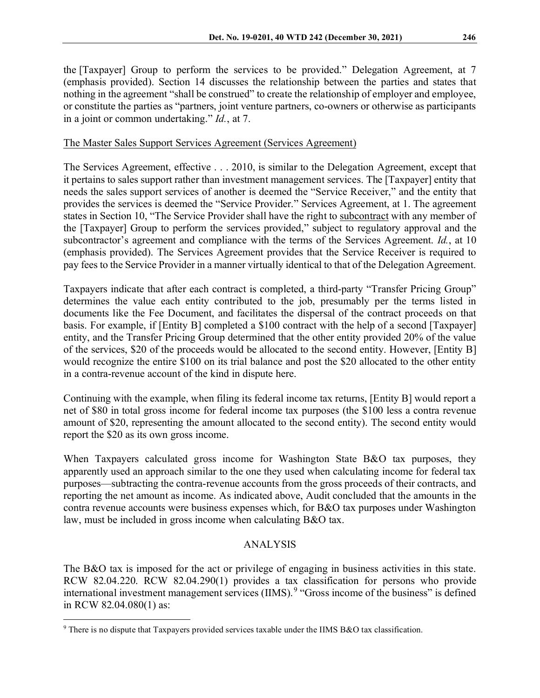the [Taxpayer] Group to perform the services to be provided." Delegation Agreement, at 7

(emphasis provided). Section 14 discusses the relationship between the parties and states that nothing in the agreement "shall be construed" to create the relationship of employer and employee, or constitute the parties as "partners, joint venture partners, co-owners or otherwise as participants in a joint or common undertaking." *Id.*, at 7.

## The Master Sales Support Services Agreement (Services Agreement)

The Services Agreement, effective . . . 2010, is similar to the Delegation Agreement, except that it pertains to sales support rather than investment management services. The [Taxpayer] entity that needs the sales support services of another is deemed the "Service Receiver," and the entity that provides the services is deemed the "Service Provider." Services Agreement, at 1. The agreement states in Section 10, "The Service Provider shall have the right to subcontract with any member of the [Taxpayer] Group to perform the services provided," subject to regulatory approval and the subcontractor's agreement and compliance with the terms of the Services Agreement. *Id.*, at 10 (emphasis provided). The Services Agreement provides that the Service Receiver is required to pay fees to the Service Provider in a manner virtually identical to that of the Delegation Agreement.

Taxpayers indicate that after each contract is completed, a third-party "Transfer Pricing Group" determines the value each entity contributed to the job, presumably per the terms listed in documents like the Fee Document, and facilitates the dispersal of the contract proceeds on that basis. For example, if [Entity B] completed a \$100 contract with the help of a second [Taxpayer] entity, and the Transfer Pricing Group determined that the other entity provided 20% of the value of the services, \$20 of the proceeds would be allocated to the second entity. However, [Entity B] would recognize the entire \$100 on its trial balance and post the \$20 allocated to the other entity in a contra-revenue account of the kind in dispute here.

Continuing with the example, when filing its federal income tax returns, [Entity B] would report a net of \$80 in total gross income for federal income tax purposes (the \$100 less a contra revenue amount of \$20, representing the amount allocated to the second entity). The second entity would report the \$20 as its own gross income.

When Taxpayers calculated gross income for Washington State B&O tax purposes, they apparently used an approach similar to the one they used when calculating income for federal tax purposes—subtracting the contra-revenue accounts from the gross proceeds of their contracts, and reporting the net amount as income. As indicated above, Audit concluded that the amounts in the contra revenue accounts were business expenses which, for B&O tax purposes under Washington law, must be included in gross income when calculating B&O tax.

# ANALYSIS

The B&O tax is imposed for the act or privilege of engaging in business activities in this state. RCW 82.04.220. RCW 82.04.290(1) provides a tax classification for persons who provide international investment management services (IIMS).<sup>[9](#page-4-0)</sup> "Gross income of the business" is defined in RCW 82.04.080(1) as:

<span id="page-4-0"></span><sup>&</sup>lt;sup>9</sup> There is no dispute that Taxpayers provided services taxable under the IIMS B&O tax classification.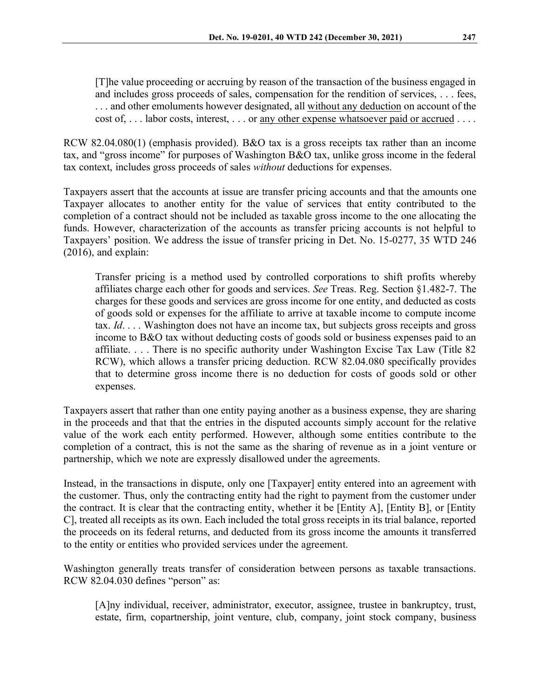RCW 82.04.080(1) (emphasis provided). B&O tax is a gross receipts tax rather than an income tax, and "gross income" for purposes of Washington B&O tax, unlike gross income in the federal tax context, includes gross proceeds of sales *without* deductions for expenses.

Taxpayers assert that the accounts at issue are transfer pricing accounts and that the amounts one Taxpayer allocates to another entity for the value of services that entity contributed to the completion of a contract should not be included as taxable gross income to the one allocating the funds. However, characterization of the accounts as transfer pricing accounts is not helpful to Taxpayers' position. We address the issue of transfer pricing in Det. No. 15-0277, 35 WTD 246 (2016), and explain:

Transfer pricing is a method used by controlled corporations to shift profits whereby affiliates charge each other for goods and services. *See* Treas. Reg. Section §1.482-7. The charges for these goods and services are gross income for one entity, and deducted as costs of goods sold or expenses for the affiliate to arrive at taxable income to compute income tax. *Id*. . . . Washington does not have an income tax, but subjects gross receipts and gross income to B&O tax without deducting costs of goods sold or business expenses paid to an affiliate. . . . There is no specific authority under Washington Excise Tax Law (Title 82 RCW), which allows a transfer pricing deduction. RCW 82.04.080 specifically provides that to determine gross income there is no deduction for costs of goods sold or other expenses.

Taxpayers assert that rather than one entity paying another as a business expense, they are sharing in the proceeds and that that the entries in the disputed accounts simply account for the relative value of the work each entity performed. However, although some entities contribute to the completion of a contract, this is not the same as the sharing of revenue as in a joint venture or partnership, which we note are expressly disallowed under the agreements.

Instead, in the transactions in dispute, only one [Taxpayer] entity entered into an agreement with the customer. Thus, only the contracting entity had the right to payment from the customer under the contract. It is clear that the contracting entity, whether it be [Entity A], [Entity B], or [Entity C], treated all receipts as its own. Each included the total gross receipts in its trial balance, reported the proceeds on its federal returns, and deducted from its gross income the amounts it transferred to the entity or entities who provided services under the agreement.

Washington generally treats transfer of consideration between persons as taxable transactions. RCW 82.04.030 defines "person" as:

[A]ny individual, receiver, administrator, executor, assignee, trustee in bankruptcy, trust, estate, firm, copartnership, joint venture, club, company, joint stock company, business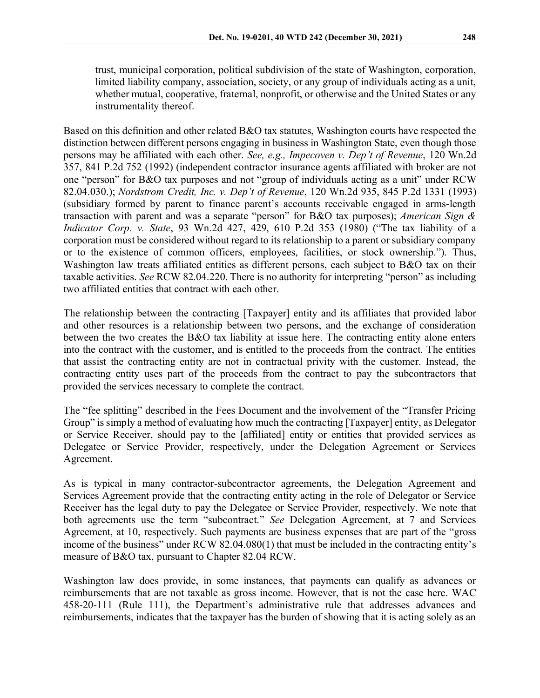trust, municipal corporation, political subdivision of the state of Washington, corporation, limited liability company, association, society, or any group of individuals acting as a unit, whether mutual, cooperative, fraternal, nonprofit, or otherwise and the United States or any instrumentality thereof.

Based on this definition and other related B&O tax statutes, Washington courts have respected the distinction between different persons engaging in business in Washington State, even though those persons may be affiliated with each other. *See, e.g., Impecoven v. Dep't of Revenue*, 120 Wn.2d 357, 841 P.2d 752 (1992) (independent contractor insurance agents affiliated with broker are not one "person" for B&O tax purposes and not "group of individuals acting as a unit" under RCW 82.04.030.); *Nordstrom Credit, Inc. v. Dep't of Revenue*, 120 Wn.2d 935, 845 P.2d 1331 (1993) (subsidiary formed by parent to finance parent's accounts receivable engaged in arms-length transaction with parent and was a separate "person" for B&O tax purposes); *American Sign & Indicator Corp. v. State*, 93 Wn.2d 427, 429, 610 P.2d 353 (1980) ("The tax liability of a corporation must be considered without regard to its relationship to a parent or subsidiary company or to the existence of common officers, employees, facilities, or stock ownership."). Thus, Washington law treats affiliated entities as different persons, each subject to B&O tax on their taxable activities. *See* RCW 82.04.220. There is no authority for interpreting "person" as including two affiliated entities that contract with each other.

The relationship between the contracting [Taxpayer] entity and its affiliates that provided labor and other resources is a relationship between two persons, and the exchange of consideration between the two creates the B&O tax liability at issue here. The contracting entity alone enters into the contract with the customer, and is entitled to the proceeds from the contract. The entities that assist the contracting entity are not in contractual privity with the customer. Instead, the contracting entity uses part of the proceeds from the contract to pay the subcontractors that provided the services necessary to complete the contract.

The "fee splitting" described in the Fees Document and the involvement of the "Transfer Pricing Group" is simply a method of evaluating how much the contracting [Taxpayer] entity, as Delegator or Service Receiver, should pay to the [affiliated] entity or entities that provided services as Delegatee or Service Provider, respectively, under the Delegation Agreement or Services Agreement.

As is typical in many contractor-subcontractor agreements, the Delegation Agreement and Services Agreement provide that the contracting entity acting in the role of Delegator or Service Receiver has the legal duty to pay the Delegatee or Service Provider, respectively. We note that both agreements use the term "subcontract." *See* Delegation Agreement, at 7 and Services Agreement, at 10, respectively. Such payments are business expenses that are part of the "gross income of the business" under RCW 82.04.080(1) that must be included in the contracting entity's measure of B&O tax, pursuant to Chapter 82.04 RCW.

Washington law does provide, in some instances, that payments can qualify as advances or reimbursements that are not taxable as gross income. However, that is not the case here. WAC 458-20-111 (Rule 111), the Department's administrative rule that addresses advances and reimbursements, indicates that the taxpayer has the burden of showing that it is acting solely as an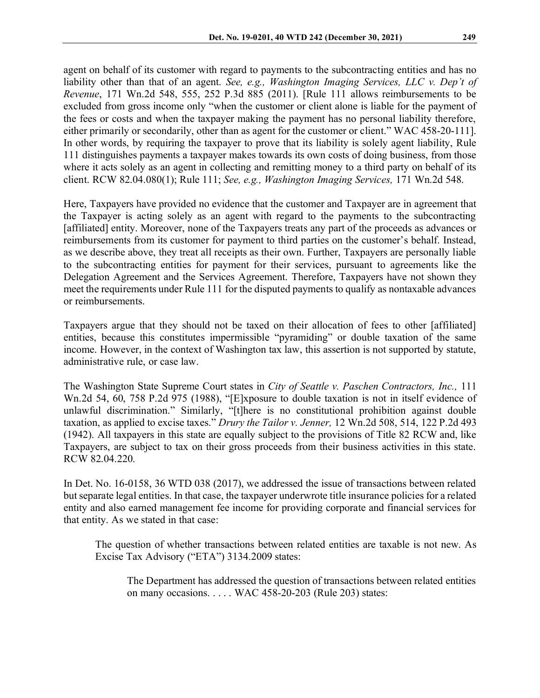agent on behalf of its customer with regard to payments to the subcontracting entities and has no liability other than that of an agent. *See, e.g., Washington Imaging Services, LLC v. Dep't of Revenue*, 171 Wn.2d 548, 555, 252 P.3d 885 (2011). [Rule 111 allows reimbursements to be excluded from gross income only "when the customer or client alone is liable for the payment of the fees or costs and when the taxpayer making the payment has no personal liability therefore, either primarily or secondarily, other than as agent for the customer or client." WAC 458-20-111]. In other words, by requiring the taxpayer to prove that its liability is solely agent liability, Rule 111 distinguishes payments a taxpayer makes towards its own costs of doing business, from those where it acts solely as an agent in collecting and remitting money to a third party on behalf of its

Here, Taxpayers have provided no evidence that the customer and Taxpayer are in agreement that the Taxpayer is acting solely as an agent with regard to the payments to the subcontracting [affiliated] entity. Moreover, none of the Taxpayers treats any part of the proceeds as advances or reimbursements from its customer for payment to third parties on the customer's behalf. Instead, as we describe above, they treat all receipts as their own. Further, Taxpayers are personally liable to the subcontracting entities for payment for their services, pursuant to agreements like the Delegation Agreement and the Services Agreement. Therefore, Taxpayers have not shown they meet the requirements under Rule 111 for the disputed payments to qualify as nontaxable advances or reimbursements.

client. RCW 82.04.080(1); Rule 111; *See, e.g., Washington Imaging Services,* 171 Wn.2d 548.

Taxpayers argue that they should not be taxed on their allocation of fees to other [affiliated] entities, because this constitutes impermissible "pyramiding" or double taxation of the same income. However, in the context of Washington tax law, this assertion is not supported by statute, administrative rule, or case law.

The Washington State Supreme Court states in *City of Seattle v. Paschen Contractors, Inc.,* 111 Wn.2d 54, 60, 758 P.2d 975 (1988), "[E]xposure to double taxation is not in itself evidence of unlawful discrimination." Similarly, "[t]here is no constitutional prohibition against double taxation, as applied to excise taxes." *Drury the Tailor v. Jenner,* [12 Wn.2d 508, 514, 122 P.2d 493](https://1.next.westlaw.com/Link/Document/FullText?findType=Y&serNum=1942123178&pubNum=0000661&originatingDoc=I826b6ac0f3dd11d9b386b232635db992&refType=RP&originationContext=document&transitionType=DocumentItem&contextData=(sc.Keycite))  [\(1942\).](https://1.next.westlaw.com/Link/Document/FullText?findType=Y&serNum=1942123178&pubNum=0000661&originatingDoc=I826b6ac0f3dd11d9b386b232635db992&refType=RP&originationContext=document&transitionType=DocumentItem&contextData=(sc.Keycite)) All taxpayers in this state are equally subject to the provisions of Title 82 RCW and, like Taxpayers, are subject to tax on their gross proceeds from their business activities in this state. RCW 82.04.220.

In Det. No. 16-0158, 36 WTD 038 (2017), we addressed the issue of transactions between related but separate legal entities. In that case, the taxpayer underwrote title insurance policies for a related entity and also earned management fee income for providing corporate and financial services for that entity. As we stated in that case:

The question of whether transactions between related entities are taxable is not new. As Excise Tax Advisory ("ETA") 3134.2009 states:

The Department has addressed the question of transactions between related entities on many occasions. . . . . WAC 458-20-203 (Rule 203) states: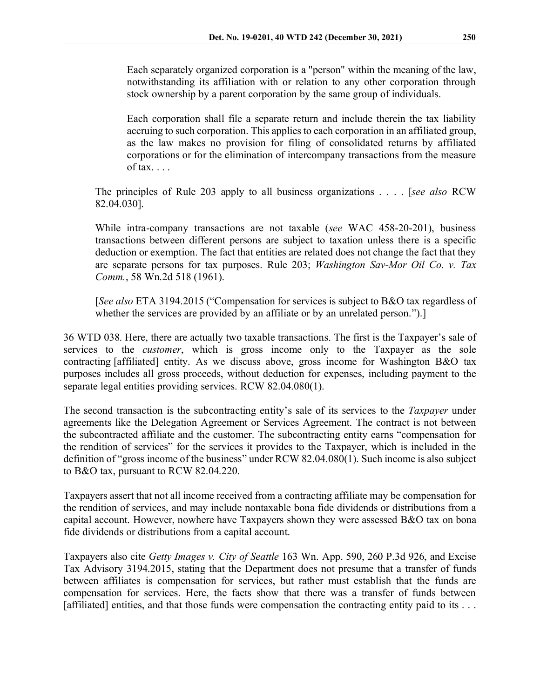Each separately organized corporation is a "person" within the meaning of the law, notwithstanding its affiliation with or relation to any other corporation through stock ownership by a parent corporation by the same group of individuals.

Each corporation shall file a separate return and include therein the tax liability accruing to such corporation. This applies to each corporation in an affiliated group, as the law makes no provision for filing of consolidated returns by affiliated corporations or for the elimination of intercompany transactions from the measure of tax.  $\ldots$ 

The principles of Rule 203 apply to all business organizations . . . . [*see also* RCW 82.04.030].

While intra-company transactions are not taxable (*see* WAC 458-20-201), business transactions between different persons are subject to taxation unless there is a specific deduction or exemption. The fact that entities are related does not change the fact that they are separate persons for tax purposes. Rule 203; *Washington Sav-Mor Oil Co. v. Tax Comm.*, 58 Wn.2d 518 (1961).

[*See also* ETA 3194.2015 ("Compensation for services is subject to B&O tax regardless of whether the services are provided by an affiliate or by an unrelated person.").]

36 WTD 038. Here, there are actually two taxable transactions. The first is the Taxpayer's sale of services to the *customer*, which is gross income only to the Taxpayer as the sole contracting [affiliated] entity. As we discuss above, gross income for Washington B&O tax purposes includes all gross proceeds, without deduction for expenses, including payment to the separate legal entities providing services. RCW 82.04.080(1).

The second transaction is the subcontracting entity's sale of its services to the *Taxpayer* under agreements like the Delegation Agreement or Services Agreement. The contract is not between the subcontracted affiliate and the customer. The subcontracting entity earns "compensation for the rendition of services" for the services it provides to the Taxpayer, which is included in the definition of "gross income of the business" under RCW 82.04.080(1). Such income is also subject to B&O tax, pursuant to RCW 82.04.220.

Taxpayers assert that not all income received from a contracting affiliate may be compensation for the rendition of services, and may include nontaxable bona fide dividends or distributions from a capital account. However, nowhere have Taxpayers shown they were assessed B&O tax on bona fide dividends or distributions from a capital account.

Taxpayers also cite *Getty Images v. City of Seattle* 163 Wn. App. 590, 260 P.3d 926, and Excise Tax Advisory 3194.2015, stating that the Department does not presume that a transfer of funds between affiliates is compensation for services, but rather must establish that the funds are compensation for services. Here, the facts show that there was a transfer of funds between [affiliated] entities, and that those funds were compensation the contracting entity paid to its . . .